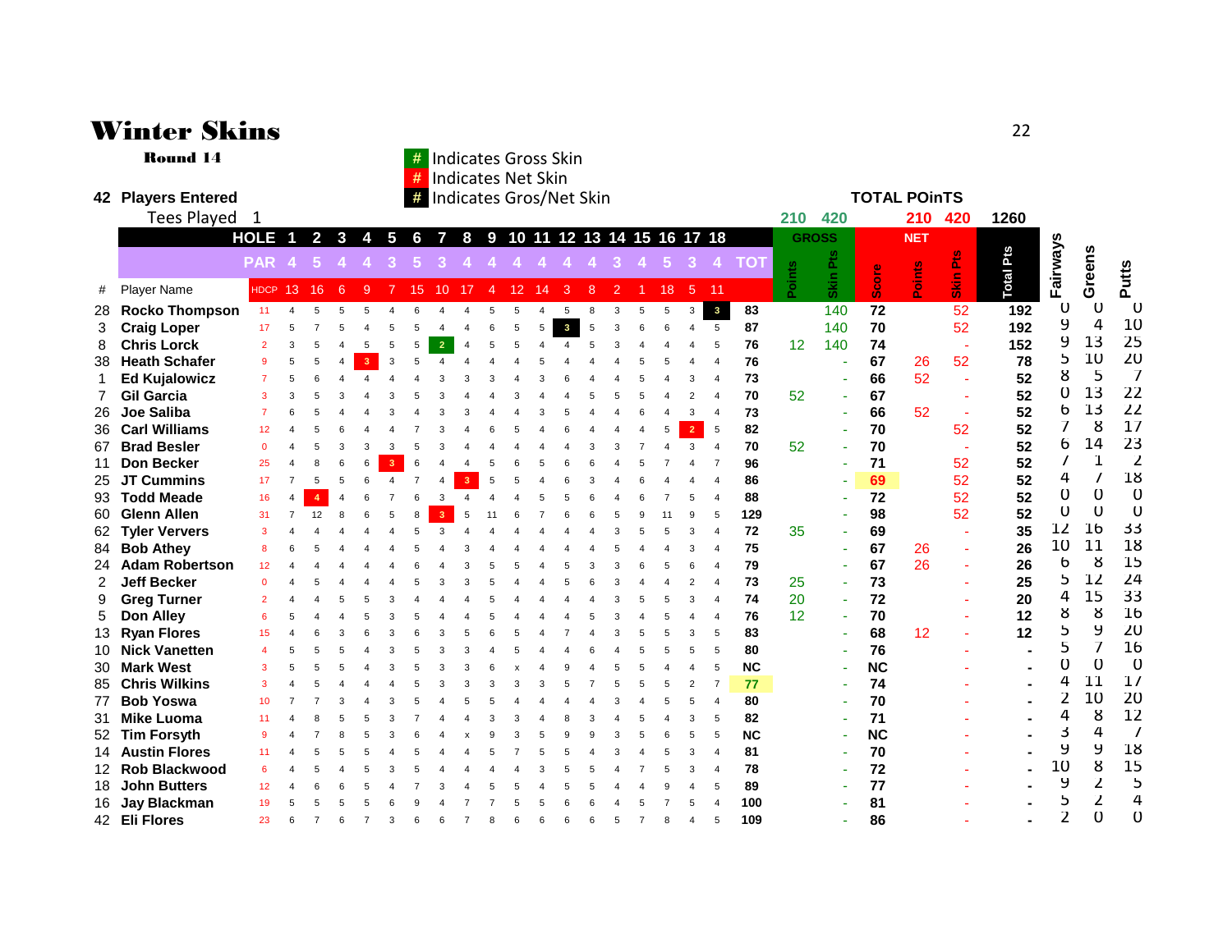|                | <b>Winter Skins</b>       |                 |                |                |                 |                |                |                 |                |                    |    |    |                |                              |    |                |    |                |                |                         |           |        |                       |                 |                     |                          | 22             |              |                |                |
|----------------|---------------------------|-----------------|----------------|----------------|-----------------|----------------|----------------|-----------------|----------------|--------------------|----|----|----------------|------------------------------|----|----------------|----|----------------|----------------|-------------------------|-----------|--------|-----------------------|-----------------|---------------------|--------------------------|----------------|--------------|----------------|----------------|
|                | Round 14                  |                 |                |                |                 |                |                |                 |                |                    |    |    |                | <b>Indicates Gross Skin</b>  |    |                |    |                |                |                         |           |        |                       |                 |                     |                          |                |              |                |                |
|                |                           |                 |                |                |                 |                |                | #               |                | Indicates Net Skin |    |    |                |                              |    |                |    |                |                |                         |           |        |                       |                 |                     |                          |                |              |                |                |
|                | <b>42 Players Entered</b> |                 |                |                |                 |                |                | #               |                |                    |    |    |                | Indicates Gros/Net Skin      |    |                |    |                |                |                         |           |        |                       |                 | <b>TOTAL POInTS</b> |                          |                |              |                |                |
|                | Tees Played 1             |                 |                |                |                 |                |                |                 |                |                    |    |    |                |                              |    |                |    |                |                |                         |           | 210    | 420                   |                 | 210 420             |                          | 1260           |              |                |                |
|                |                           | <b>HOLE</b>     | $\blacksquare$ | $\overline{2}$ | $\mathbf{3}$    | $\overline{4}$ | 5              | 6               | $\overline{7}$ | 8                  |    |    |                | 9 10 11 12 13 14 15 16 17 18 |    |                |    |                |                |                         |           |        | <b>GROSS</b>          |                 | <b>NET</b>          |                          |                |              |                |                |
|                |                           | PAR 4           |                | $-5$           | $\sim$          | $\sim$ 4       | 3 <sup>1</sup> | 5 <sub>1</sub>  | $\mathbf{3}$   | -4                 | -4 | 4  | 4              | 4                            | -4 | $\mathbf{3}$   | -4 | -5.            | 3 <sup>1</sup> |                         | 4 TOT     |        | <b>P<sub>ts</sub></b> |                 |                     | 운                        | Pts            |              |                |                |
|                |                           |                 |                |                |                 |                |                |                 |                |                    |    |    |                |                              |    |                |    |                |                |                         |           | Points | Skin                  | Score           | Points              | $rac{5}{5}$              | <b>Total</b>   | Fairways     | Greens         | Putts          |
| #              | Player Name               | HDCP 13         |                | 16             | $6\overline{6}$ | 9              | -7             | 15 <sup>2</sup> | 10             | $-17$              | -4 | 12 | 14             | 3                            | 8  | $\overline{2}$ |    | 18             |                | $5 - 11$                |           |        |                       |                 |                     |                          |                |              |                |                |
| 28             | <b>Rocko Thompson</b>     | 11              | $\overline{4}$ | 5              | 5               | 5              | $\overline{4}$ | 6               |                |                    | 5  | 5  | $\overline{4}$ | 5                            | 8  | $\mathbf{3}$   | 5  | 5              | $\mathbf{3}$   | $\overline{\mathbf{3}}$ | 83        |        | 140                   | $\overline{72}$ |                     | $\overline{52}$          | 192            | $\mathbf 0$  | $\mathsf{U}$   | $\mathbf 0$    |
| 3              | <b>Craig Loper</b>        | 17              | 5              |                | 5               |                | 5              | 5               |                |                    | 6  | 5  | 5              | $\overline{\mathbf{3}}$      | 5  | 3              |    | 6              | $\overline{4}$ | 5                       | 87        |        | 140                   | 70              |                     | 52                       | 192            | 9            | 4              | 10             |
| 8              | <b>Chris Lorck</b>        | $\mathcal{P}$   |                |                |                 | 5              | 5              | 5               | $\overline{2}$ |                    |    |    |                |                              | 5  | р              |    |                |                | 5                       | 76        | 12     | 140                   | 74              |                     | $\sim$                   | 152            | 9            | 13             | 25             |
| 38             | <b>Heath Schafer</b>      | $\mathbf{q}$    |                |                |                 |                | 3              | 5               |                |                    |    |    |                |                              |    |                |    |                |                | $\overline{4}$          | 76        |        |                       | 67              | 26                  | 52                       | 78             | 5            | 10             | 20             |
| 1              | <b>Ed Kujalowicz</b>      |                 | 5              |                | $\Delta$        | $\Delta$       |                |                 |                |                    |    |    |                |                              |    |                |    |                | 3              | $\overline{4}$          | 73        |        |                       | 66              | 52                  | $\sim$                   | 52             | 8            | 5              | 7              |
| $\overline{7}$ | <b>Gil Garcia</b>         | Ŕ               |                |                |                 |                |                |                 |                |                    |    |    |                |                              |    |                |    |                | $\mathfrak{p}$ | $\overline{4}$          | 70        | 52     | ÷                     | 67              |                     | ÷                        | 52             | $\mathbf{0}$ | 13             | 22             |
| 26             | Joe Saliba                |                 |                |                |                 |                |                |                 |                |                    |    |    |                |                              |    |                |    |                | 3              | $\overline{4}$          | 73        |        | $\sim$                | 66              | 52                  | $\overline{\phantom{a}}$ | 52             | 6            | 13             | 22             |
| 36             | <b>Carl Williams</b>      | 12              |                |                |                 |                |                |                 |                |                    |    |    |                |                              |    |                |    |                | $\overline{2}$ | 5                       | 82        |        |                       | 70              |                     | 52                       | 52             | 7            | 8              | 17             |
| 67             | <b>Brad Besler</b>        | $\Omega$        | Δ              |                |                 |                | 3              |                 |                |                    |    |    |                |                              |    |                |    | $\overline{4}$ | 3              | $\overline{4}$          | 70        | 52     |                       | 70              |                     | $\sim$                   | 52             | 6            | 14             | 23             |
| 11             | <b>Don Becker</b>         | 25              |                |                |                 | 6              | $\overline{3}$ |                 |                |                    |    |    |                |                              |    |                |    |                |                | $\overline{7}$          | 96        |        |                       | 71              |                     | 52                       | 52             | 7            | $\mathbf 1$    | $\mathbf{Z}$   |
| 25             | <b>JT Cummins</b>         | 17              |                | 5              |                 |                |                |                 |                |                    | 5  |    |                |                              |    |                |    |                |                | $\overline{4}$          | 86        |        | $\sim$                | 69              |                     | 52                       | 52             | 4            | 7              | 18             |
| 93             | <b>Todd Meade</b>         | 16              |                |                |                 |                |                |                 |                |                    |    |    |                |                              |    |                |    |                |                | $\overline{4}$          | 88        |        |                       | 72              |                     | 52                       | 52             | $\mathbf 0$  | $\mathbf{0}$   | $\cup$         |
| 60             | <b>Glenn Allen</b>        | 31              |                |                |                 |                | 5              | 8               |                | 5                  | 11 |    |                |                              |    |                |    | 11             | $\mathbf{Q}$   | 5                       | 129       |        |                       | 98              |                     | 52                       | 52             | $\mathbf 0$  | $\mathbf{0}$   | $\mathbf 0$    |
| 62             | <b>Tyler Ververs</b>      | $\mathbf{R}$    |                |                |                 |                |                |                 | ٩              |                    |    |    |                |                              |    |                |    |                | 3              | $\overline{4}$          | 72        | 35     |                       | 69              |                     |                          | 35             | 12           | 16             | 33             |
| 84             | <b>Bob Athey</b>          | <b>R</b>        |                |                |                 |                |                |                 |                |                    |    |    |                |                              |    |                |    |                | 3              | $\overline{4}$          | 75        |        | ٠                     | 67              | 26                  |                          | 26             | 10           | 11             | 18             |
| 24             | <b>Adam Robertson</b>     | 12              |                |                |                 |                |                |                 |                |                    |    |    |                |                              |    |                |    |                | 6              | $\overline{4}$          | 79        |        |                       | 67              | 26                  |                          | 26             | 6            | ୪              | 15             |
| 2              | <b>Jeff Becker</b>        | $\Omega$        |                |                |                 |                |                |                 |                |                    |    |    |                |                              |    |                |    |                | $\overline{2}$ | $\overline{4}$          | 73        | 25     | $\sim$                | 73              |                     |                          | 25             | 5            | 12             | 24             |
| 9              | <b>Greg Turner</b>        |                 |                |                |                 |                |                |                 |                |                    |    |    |                |                              |    |                |    |                | 3              | $\overline{4}$          | 74        | 20     | ÷.                    | 72              |                     |                          | 20             | 4            | 15             | 33             |
| 5              | <b>Don Alley</b>          | 6               |                |                |                 |                |                |                 |                |                    |    |    |                |                              |    |                |    |                |                | $\overline{4}$          | 76        | 12     | ÷                     | 70              |                     |                          | 12             | 8            | 8              | 16             |
| 13             | <b>Ryan Flores</b>        | 15              |                |                |                 |                |                |                 |                |                    |    |    |                |                              |    |                |    |                | 3              | 5                       | 83        |        | ÷                     | 68              | 12                  |                          | 12             | 5            | 9              | 20             |
| 10             | <b>Nick Vanetten</b>      |                 |                |                |                 |                |                |                 |                |                    |    |    |                |                              |    |                |    |                | 5              | 5                       | 80        |        |                       | 76              |                     |                          | $\blacksquare$ | 5            | $\overline{I}$ | 16             |
| 30             | <b>Mark West</b>          |                 |                |                |                 |                |                |                 |                |                    |    |    |                |                              |    |                |    |                |                | 5                       | <b>NC</b> |        |                       | <b>NC</b>       |                     |                          | $\blacksquare$ | $\mathbf 0$  | $\mathbf{0}$   | $\cup$         |
| 85             | <b>Chris Wilkins</b>      | 3               |                |                |                 |                |                |                 |                |                    |    |    |                |                              |    |                |    | 5              | $\overline{2}$ | $\overline{7}$          | 77        |        |                       | 74              |                     |                          |                | 4            | 11             | 17             |
| 77             | <b>Bob Yoswa</b>          | 10              |                |                |                 |                |                |                 |                |                    |    |    |                |                              |    |                |    | 5              | 5              | $\overline{4}$          | 80        |        |                       | 70              |                     |                          | $\blacksquare$ | 2            | 10             | 20             |
| 31             | <b>Mike Luoma</b>         | 11              |                |                |                 |                |                |                 |                |                    |    |    |                |                              |    |                |    |                | 3              | 5                       | 82        |        |                       | 71              |                     |                          |                | 4            | 8              | 12             |
| 52             | <b>Tim Forsyth</b>        |                 |                |                |                 |                |                |                 |                |                    |    |    |                |                              |    |                |    |                | 5              | 5                       | <b>NC</b> |        |                       | <b>NC</b>       |                     |                          |                | 3            | 4              | $\overline{7}$ |
| 14             | <b>Austin Flores</b>      | 11              |                |                |                 |                |                |                 |                |                    |    |    |                |                              |    |                |    |                | 3              | $\overline{4}$          | 81        |        |                       | 70              |                     |                          |                | 9            | 9              | 18             |
| 12             | <b>Rob Blackwood</b>      | ĥ.              |                |                |                 |                |                |                 |                |                    |    |    |                |                              |    |                |    |                | 3              | $\overline{4}$          | 78        |        |                       | 72              |                     |                          | $\blacksquare$ | 10           | 8              | 15             |
| 18             | <b>John Butters</b>       | 12 <sup>2</sup> |                |                |                 |                |                |                 |                |                    |    |    |                |                              |    |                |    |                |                | 5                       | 89        |        |                       | 77              |                     |                          |                | 9            | $\overline{2}$ | 5              |
| 16             | <b>Jay Blackman</b>       | 19              |                |                |                 |                |                |                 |                |                    |    |    |                |                              |    |                |    |                | 5              | $\overline{4}$          | 100       |        |                       | 81              |                     |                          |                | 5            | $\mathbf{Z}$   | 4              |
|                | 42 Eli Flores             | 23              | 6              |                |                 |                | 3              |                 |                |                    |    |    |                |                              | 6  | 5              |    | 8              | $\overline{4}$ | 5                       | 109       |        |                       | 86              |                     |                          |                | 2            | $\mathbf{0}$   | $\cup$         |
|                |                           |                 |                |                |                 |                |                |                 |                |                    |    |    |                |                              |    |                |    |                |                |                         |           |        |                       |                 |                     |                          |                |              |                |                |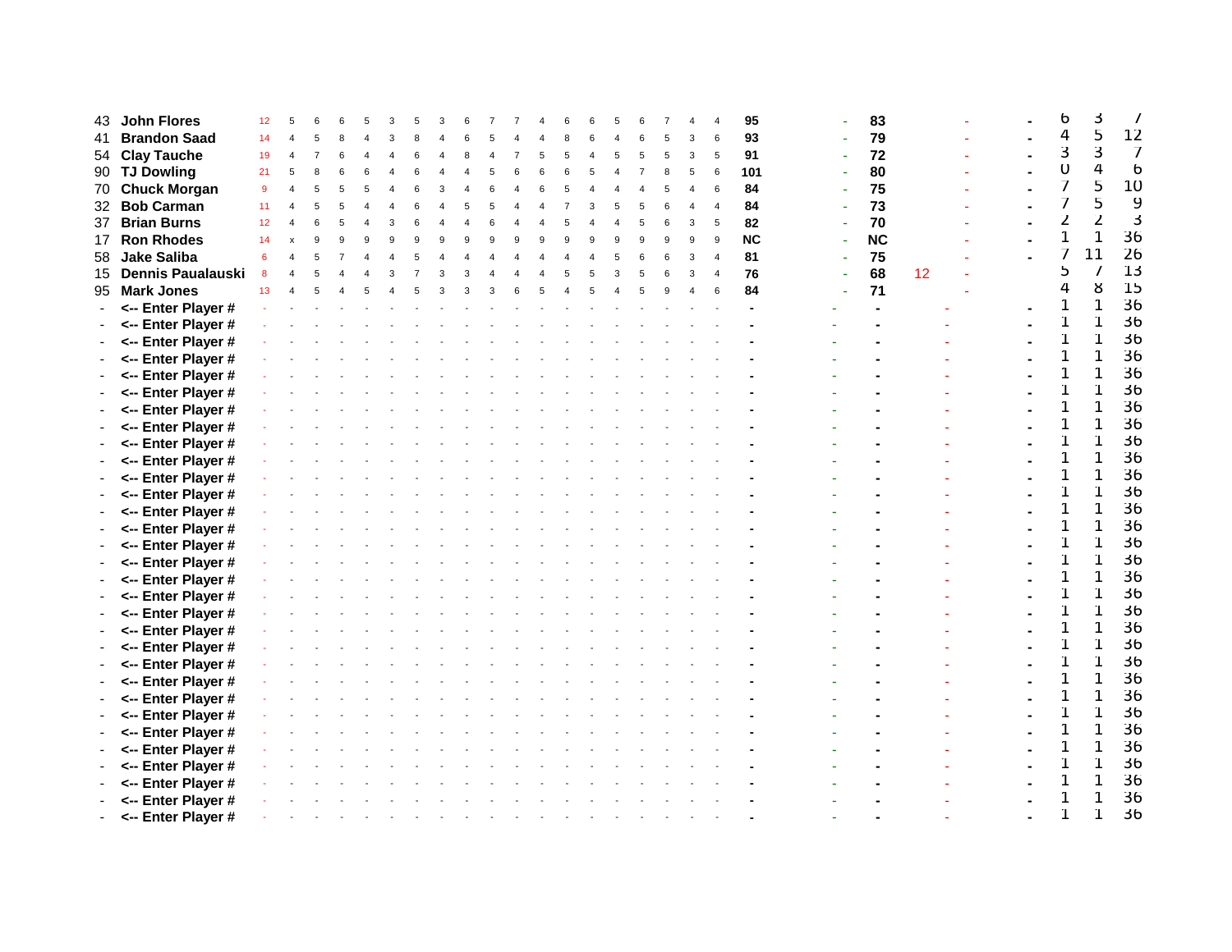| 43 John Flores       |    |  |  |  |  |  |  |  |  |   |              | 95        | 83        |    |  | 6              | 3               | 7              |
|----------------------|----|--|--|--|--|--|--|--|--|---|--------------|-----------|-----------|----|--|----------------|-----------------|----------------|
| 41 Brandon Saad      |    |  |  |  |  |  |  |  |  |   |              | 93        | 79        |    |  | 4              | 5               | 12             |
| 54 Clay Tauche       | 19 |  |  |  |  |  |  |  |  | 3 |              | 91        | 72        |    |  | 3              | 3               | 7              |
| 90 TJ Dowling        | 21 |  |  |  |  |  |  |  |  |   |              | 101       | 80        |    |  | 0              | 4               | $\overline{6}$ |
| 70 Chuck Morgan      |    |  |  |  |  |  |  |  |  |   |              | 84        | 75        |    |  | 7              | 5               | 10             |
| 32 Bob Carman        |    |  |  |  |  |  |  |  |  |   |              | 84        | 73        |    |  | 7              |                 | 9              |
| 37 Brian Burns       | 12 |  |  |  |  |  |  |  |  | 3 |              | 82        | 70        |    |  | $\overline{2}$ | $\overline{2}$  | 3              |
| 17 Ron Rhodes        | 14 |  |  |  |  |  |  |  |  |   | $\mathbf{q}$ | <b>NC</b> | <b>NC</b> |    |  | $\mathbf{1}$   | $\mathbf{1}$    | 36             |
| 58 Jake Saliba       |    |  |  |  |  |  |  |  |  |   |              | 81        | 75        |    |  | 7              | 11              | 26             |
| 15 Dennis Paualauski |    |  |  |  |  |  |  |  |  |   |              | 76        | 68        | 12 |  | 5              | $\overline{I}$  | 13             |
| 95 Mark Jones        | 13 |  |  |  |  |  |  |  |  |   |              | 84        | 71        |    |  | 4              | $8\overline{a}$ | 15             |
| <-- Enter Player #   |    |  |  |  |  |  |  |  |  |   |              |           |           |    |  | 1              | 1               | 36             |
| <-- Enter Player #   |    |  |  |  |  |  |  |  |  |   |              |           |           |    |  | 1              | $\mathbf{1}$    | 36             |
| <-- Enter Player #   |    |  |  |  |  |  |  |  |  |   |              |           |           |    |  | $\mathbf{1}$   | $\mathbf{1}$    | 36             |
| <-- Enter Player #   |    |  |  |  |  |  |  |  |  |   |              |           |           |    |  | 1              | $\mathbf{1}$    | 36             |
| <-- Enter Player #   |    |  |  |  |  |  |  |  |  |   |              |           |           |    |  | $\mathbf{1}$   | $\mathbf{1}$    | 36             |
| <-- Enter Player #   |    |  |  |  |  |  |  |  |  |   |              |           |           |    |  | $\mathbf{1}$   | $\mathbf{1}$    | 36             |
| <-- Enter Player #   |    |  |  |  |  |  |  |  |  |   |              |           |           |    |  | 1              | $\mathbf{1}$    | 36             |
| <-- Enter Player #   |    |  |  |  |  |  |  |  |  |   |              |           |           |    |  | $\mathbf{1}$   | $\mathbf{1}$    | 36             |
| <-- Enter Player #   |    |  |  |  |  |  |  |  |  |   |              |           |           |    |  | 1              | 1               | 36             |
| <-- Enter Player #   |    |  |  |  |  |  |  |  |  |   |              |           |           |    |  | $\mathbf{1}$   | $\mathbf{1}$    | 36             |
| <-- Enter Player #   |    |  |  |  |  |  |  |  |  |   |              |           |           |    |  | $\mathbf{1}$   | 1               | 36             |
| <-- Enter Player #   |    |  |  |  |  |  |  |  |  |   |              |           |           |    |  | $\mathbf{1}$   | 1               | 36             |
| <-- Enter Player #   |    |  |  |  |  |  |  |  |  |   |              |           |           |    |  | $\mathbf{1}$   | $\mathbf{1}$    | 36             |
| <-- Enter Player #   |    |  |  |  |  |  |  |  |  |   |              |           |           |    |  | $\mathbf{1}$   | $\mathbf{1}$    | 36             |
| <-- Enter Player #   |    |  |  |  |  |  |  |  |  |   |              |           |           |    |  | $\mathbf{1}$   | $\mathbf{1}$    | 36             |
| <-- Enter Player #   |    |  |  |  |  |  |  |  |  |   |              |           |           |    |  | 1              | 1               | 36             |
| <-- Enter Player #   |    |  |  |  |  |  |  |  |  |   |              |           |           |    |  | $\mathbf{1}$   | $\mathbf{1}$    | 36             |
| <-- Enter Player #   |    |  |  |  |  |  |  |  |  |   |              |           |           |    |  | 1              | 1               | 36             |
| <-- Enter Player #   |    |  |  |  |  |  |  |  |  |   |              |           |           |    |  | $\mathbf{1}$   | $\mathbf{1}$    | 36             |
| <-- Enter Player #   |    |  |  |  |  |  |  |  |  |   |              |           |           |    |  | 1              | $\mathbf{1}$    | 36             |
| <-- Enter Player #   |    |  |  |  |  |  |  |  |  |   |              |           |           |    |  | 1              | $\mathbf 1$     | 36             |
| <-- Enter Player #   |    |  |  |  |  |  |  |  |  |   |              |           |           |    |  | $\mathbf{1}$   | $\mathbf 1$     | 36             |
| <-- Enter Player #   |    |  |  |  |  |  |  |  |  |   |              |           |           |    |  | $\mathbf{1}$   | $\mathbf{1}$    | 36             |
| <-- Enter Player #   |    |  |  |  |  |  |  |  |  |   |              |           |           |    |  | $\mathbf{1}$   | $\mathbf{1}$    | 36             |
| <-- Enter Player #   |    |  |  |  |  |  |  |  |  |   |              |           |           |    |  | $\mathbf{1}$   | 1               | 36             |
| <-- Enter Player #   |    |  |  |  |  |  |  |  |  |   |              |           |           |    |  | $\mathbf{1}$   | $\mathbf{1}$    | 36             |
| <-- Enter Player #   |    |  |  |  |  |  |  |  |  |   |              |           |           |    |  | $\mathbf{1}$   | $\mathbf{1}$    | 36             |
| <-- Enter Player #   |    |  |  |  |  |  |  |  |  |   |              |           |           |    |  | $\mathbf{1}$   | 1               | 36             |
| <-- Enter Player #   |    |  |  |  |  |  |  |  |  |   |              |           |           |    |  | 1              | $\mathbf{1}$    | 36             |
| <-- Enter Player #   |    |  |  |  |  |  |  |  |  |   |              |           |           |    |  | 1              | $\mathbf{1}$    | 36             |
| <-- Enter Player #   |    |  |  |  |  |  |  |  |  |   |              |           |           |    |  | $\mathbf{1}$   | $\mathbf{1}$    | 36             |
|                      |    |  |  |  |  |  |  |  |  |   |              |           |           |    |  |                |                 |                |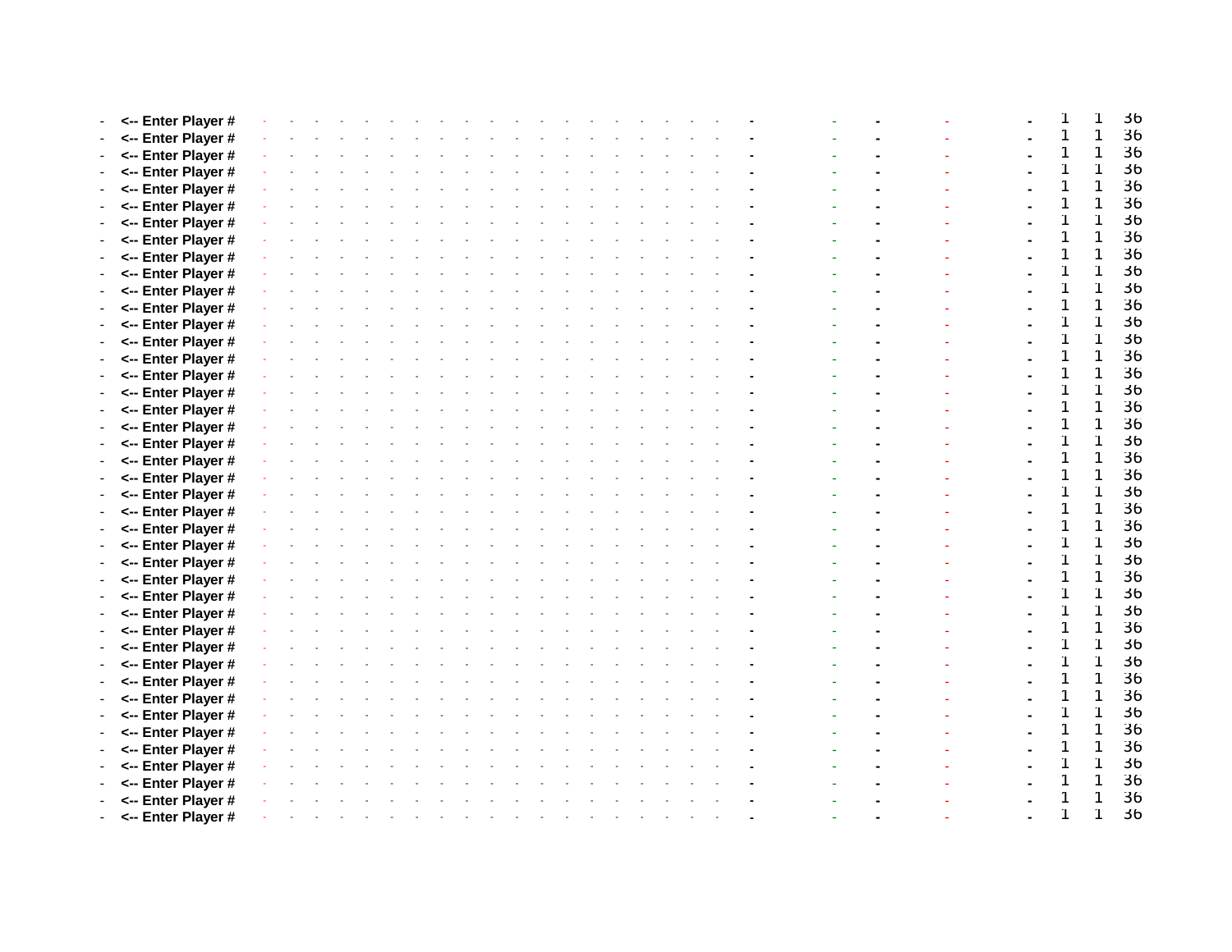| - <-- Enter Player # |  |  |  |  |  |  |  |  |  |  |  |  |  |              | 1            | 36 |
|----------------------|--|--|--|--|--|--|--|--|--|--|--|--|--|--------------|--------------|----|
| <-- Enter Player #   |  |  |  |  |  |  |  |  |  |  |  |  |  | $\mathbf{1}$ | $\mathbf{1}$ | 36 |
| <-- Enter Player #   |  |  |  |  |  |  |  |  |  |  |  |  |  | $\mathbf{1}$ | $\mathbf{1}$ | 36 |
| <-- Enter Player #   |  |  |  |  |  |  |  |  |  |  |  |  |  | 1            | 1            | 36 |
| <-- Enter Player #   |  |  |  |  |  |  |  |  |  |  |  |  |  | 1            | $\mathbf{1}$ | 36 |
| <-- Enter Player #   |  |  |  |  |  |  |  |  |  |  |  |  |  | $\mathbf{1}$ | $\mathbf{1}$ | 36 |
| <-- Enter Player #   |  |  |  |  |  |  |  |  |  |  |  |  |  | $\mathbf{1}$ | $\mathbf{1}$ | 36 |
| <-- Enter Player #   |  |  |  |  |  |  |  |  |  |  |  |  |  | $\mathbf{1}$ | $\mathbf{1}$ | 36 |
| <-- Enter Player #   |  |  |  |  |  |  |  |  |  |  |  |  |  | 1            | $\mathbf{1}$ | 36 |
| <-- Enter Player #   |  |  |  |  |  |  |  |  |  |  |  |  |  | 1            | $\mathbf{1}$ | 36 |
| <-- Enter Player #   |  |  |  |  |  |  |  |  |  |  |  |  |  | 1            | $\mathbf{1}$ | 36 |
| <-- Enter Player #   |  |  |  |  |  |  |  |  |  |  |  |  |  | $\mathbf{1}$ | $\mathbf{1}$ | 36 |
| <-- Enter Player #   |  |  |  |  |  |  |  |  |  |  |  |  |  | 1            | $\mathbf{1}$ | 36 |
| <-- Enter Player #   |  |  |  |  |  |  |  |  |  |  |  |  |  | 1            | 1            | 36 |
| <-- Enter Player #   |  |  |  |  |  |  |  |  |  |  |  |  |  | $\mathbf{1}$ | $\mathbf{1}$ | 36 |
| <-- Enter Player #   |  |  |  |  |  |  |  |  |  |  |  |  |  | $\mathbf{1}$ | $\mathbf{1}$ | 36 |
| <-- Enter Player #   |  |  |  |  |  |  |  |  |  |  |  |  |  | $\mathbf{1}$ | $\mathbf{1}$ | 36 |
| <-- Enter Player #   |  |  |  |  |  |  |  |  |  |  |  |  |  | 1            | $\mathbf{1}$ | 36 |
| <-- Enter Player #   |  |  |  |  |  |  |  |  |  |  |  |  |  | 1            | $\mathbf{1}$ | 36 |
| <-- Enter Player #   |  |  |  |  |  |  |  |  |  |  |  |  |  | $\mathbf{1}$ | $\mathbf{1}$ | 36 |
| <-- Enter Player #   |  |  |  |  |  |  |  |  |  |  |  |  |  | $\mathbf{1}$ | $\mathbf{1}$ | 36 |
| <-- Enter Player #   |  |  |  |  |  |  |  |  |  |  |  |  |  | 1            | $\mathbf{1}$ | 36 |
| <-- Enter Player #   |  |  |  |  |  |  |  |  |  |  |  |  |  | 1            | 1            | 36 |
| <-- Enter Player #   |  |  |  |  |  |  |  |  |  |  |  |  |  | $\mathbf{1}$ | $\mathbf{1}$ | 36 |
| <-- Enter Player #   |  |  |  |  |  |  |  |  |  |  |  |  |  | $\mathbf{1}$ | $\mathbf{1}$ | 36 |
| <-- Enter Player #   |  |  |  |  |  |  |  |  |  |  |  |  |  | $\mathbf{1}$ | $\mathbf{1}$ | 36 |
| <-- Enter Player #   |  |  |  |  |  |  |  |  |  |  |  |  |  | 1            | 1            | 36 |
| <-- Enter Player #   |  |  |  |  |  |  |  |  |  |  |  |  |  | $\mathbf{1}$ | $\mathbf{1}$ | 36 |
| <-- Enter Player #   |  |  |  |  |  |  |  |  |  |  |  |  |  | 1            | $\mathbf{1}$ | 36 |
| <-- Enter Player #   |  |  |  |  |  |  |  |  |  |  |  |  |  | $\mathbf{1}$ | $\mathbf{1}$ | 36 |
| <-- Enter Player #   |  |  |  |  |  |  |  |  |  |  |  |  |  | $\mathbf{1}$ | $\mathbf{1}$ | 36 |
| <-- Enter Player #   |  |  |  |  |  |  |  |  |  |  |  |  |  | 1            | 1            | 36 |
| <-- Enter Player #   |  |  |  |  |  |  |  |  |  |  |  |  |  | 1            | $\mathbf{1}$ | 36 |
| <-- Enter Player #   |  |  |  |  |  |  |  |  |  |  |  |  |  | $\mathbf{1}$ | $\mathbf{1}$ | 36 |
| <-- Enter Player #   |  |  |  |  |  |  |  |  |  |  |  |  |  | $\mathbf{1}$ | $\mathbf{1}$ | 36 |
| <-- Enter Player #   |  |  |  |  |  |  |  |  |  |  |  |  |  | 1            | $\mathbf{1}$ | 36 |
| <-- Enter Player #   |  |  |  |  |  |  |  |  |  |  |  |  |  | $\mathbf{1}$ | $\mathbf{1}$ | 36 |
| <-- Enter Player #   |  |  |  |  |  |  |  |  |  |  |  |  |  | $\mathbf{1}$ | $\mathbf{1}$ | 36 |
| <-- Enter Player #   |  |  |  |  |  |  |  |  |  |  |  |  |  | $\mathbf{1}$ | $\mathbf{1}$ | 36 |
| <-- Enter Player #   |  |  |  |  |  |  |  |  |  |  |  |  |  | 1            | $\mathbf{1}$ | 36 |
| <-- Enter Player #   |  |  |  |  |  |  |  |  |  |  |  |  |  |              | 1            | 36 |
| <-- Enter Player #   |  |  |  |  |  |  |  |  |  |  |  |  |  | $\mathbf{1}$ | $\mathbf{1}$ | 36 |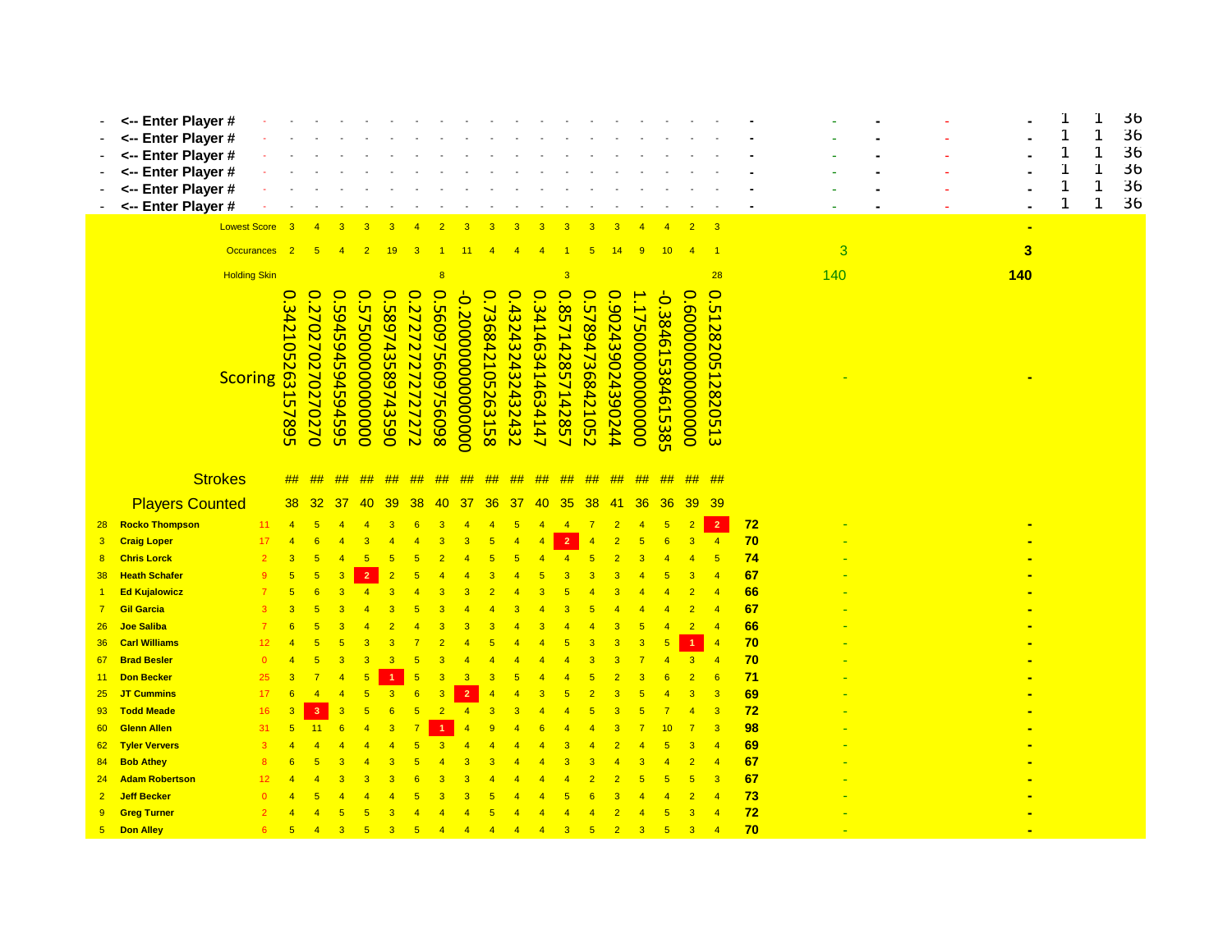|                 | <-- Enter Player #<br><-- Enter Player #<br><-- Enter Player #<br><-- Enter Player #<br><-- Enter Player #<br><-- Enter Player # |                     |                         |                         |                              |                   |                             |                         |                         |                         |                   |                   |                   |                         |                   |                         |                  |                   |                         |                                                |    |                |  |            |   | 1<br>$\mathbf 1$<br>$\mathbf 1$<br>1<br>$\mathbf 1$<br>$\mathbf 1$ | 1<br>1<br>1<br>1<br>1<br>$\mathbf 1$ | 36<br>36<br>36<br>36<br>36<br>36 |
|-----------------|----------------------------------------------------------------------------------------------------------------------------------|---------------------|-------------------------|-------------------------|------------------------------|-------------------|-----------------------------|-------------------------|-------------------------|-------------------------|-------------------|-------------------|-------------------|-------------------------|-------------------|-------------------------|------------------|-------------------|-------------------------|------------------------------------------------|----|----------------|--|------------|---|--------------------------------------------------------------------|--------------------------------------|----------------------------------|
|                 |                                                                                                                                  | <b>Lowest Score</b> | $\overline{\mathbf{3}}$ | $\overline{4}$          | $\overline{\mathbf{3}}$      | 3                 | 3                           |                         | $\overline{2}$          | 3                       | 3                 | 3                 | 3                 | $\overline{\mathbf{3}}$ | 3                 | $\overline{\mathbf{3}}$ | $\overline{4}$   | $\overline{4}$    | $\overline{2}$          | $\overline{\mathbf{3}}$                        |    |                |  |            |   |                                                                    |                                      |                                  |
|                 |                                                                                                                                  | <b>Occurances</b>   | $\overline{2}$          | 5                       | $\overline{4}$               | $\overline{2}$    | 19                          | $\overline{\mathbf{3}}$ | $\overline{1}$          | 11                      |                   |                   | $\overline{A}$    |                         | $5\phantom{1}$    | 14                      | 9                | 10                | $\overline{4}$          | $\overline{1}$                                 |    | $\overline{3}$ |  |            | 3 |                                                                    |                                      |                                  |
|                 |                                                                                                                                  | <b>Holding Skin</b> |                         |                         |                              |                   |                             |                         | $\overline{8}$          |                         |                   |                   |                   | 3                       |                   |                         |                  |                   |                         | 28                                             |    | 140            |  | <b>140</b> |   |                                                                    |                                      |                                  |
|                 |                                                                                                                                  | <b>Scoring</b>      | 0.342105263157895       | 0.270270270270270       | 0.5945945945945<br><u>SS</u> | 0.575000000000000 | $\circ$<br>1589743589743590 | 0.272727272727272       | 860952609520098         | 000000000000002.0-      | 0.736842105263158 | 0.432432432432432 | 0.341463414634147 | 0.85714285714285<br>↘   | 0.578947368421052 | 0.902439024390244       | 1.17500000000000 | 0.384615384615385 | 000000000000000         | $\circ$<br>512<br>8205128205<br>$\overline{5}$ |    |                |  |            |   |                                                                    |                                      |                                  |
|                 |                                                                                                                                  | <b>Strokes</b>      | ##                      | ##                      | ##                           | ##                | ##                          | ##                      | ##                      | ##                      | ##                | ##                | ##                | ##                      | ##                | ##                      | ##               | ##                |                         | ## ##                                          |    |                |  |            |   |                                                                    |                                      |                                  |
|                 | <b>Players Counted</b>                                                                                                           |                     | 38                      | 32                      | 37                           | 40                | 39                          | 38                      | 40                      | 37                      | 36                | 37                | 40                | 35                      | 38                | 41                      | 36               | 36                | 39                      | $-39$                                          |    |                |  |            |   |                                                                    |                                      |                                  |
| 28              | <b>Rocko Thompson</b>                                                                                                            | 11                  | $\overline{4}$          | 5                       | $\overline{4}$               | $\overline{4}$    | 3                           |                         | 3                       |                         |                   |                   |                   | $\overline{4}$          | $\overline{7}$    | $\overline{2}$          | $\overline{4}$   | $5\overline{)}$   | $\overline{2}$          | $\mathbf{2}$                                   | 72 |                |  |            |   |                                                                    |                                      |                                  |
| 3 <sup>2</sup>  | <b>Craig Loper</b>                                                                                                               | 17                  | $\overline{4}$          | 6                       | $\overline{A}$               | 3                 |                             |                         | 3                       | 3                       | 5                 | $\overline{4}$    | $\overline{A}$    | $\overline{2}$          |                   | $\overline{2}$          | $5\overline{5}$  | 6                 | $\overline{\mathbf{3}}$ | $\overline{4}$                                 | 70 |                |  |            |   |                                                                    |                                      |                                  |
| 8               | <b>Chris Lorck</b>                                                                                                               | $\overline{2}$      | 3                       | 5                       | $\overline{A}$               | 5                 | 5                           |                         |                         |                         | 5                 |                   |                   |                         | 5                 |                         | 3                | $\overline{A}$    | $\overline{A}$          | 5                                              | 74 |                |  |            |   |                                                                    |                                      |                                  |
| 38              | <b>Heath Schafer</b>                                                                                                             | 9                   | $\overline{5}$          | $5\overline{5}$         | 3                            | $\overline{2}$    | $\overline{2}$              | 5                       |                         |                         | з                 |                   | 5                 |                         | з                 | з                       | $\overline{A}$   | 5                 | 3                       | $\overline{A}$                                 | 67 |                |  |            |   |                                                                    |                                      |                                  |
| $\vert$ 1       | <b>Ed Kujalowicz</b>                                                                                                             | 7                   | 5                       | 6                       | 3                            | $\overline{A}$    | 3                           |                         | 3                       |                         |                   |                   | 3                 |                         |                   | 3                       |                  | $\overline{A}$    | $\overline{2}$          | $\overline{4}$                                 | 66 |                |  |            |   |                                                                    |                                      |                                  |
| $\overline{7}$  | <b>Gil Garcia</b>                                                                                                                | 3                   | 3                       | 5                       | з                            |                   | 3                           |                         |                         |                         |                   |                   |                   | з                       | 5                 |                         | $\overline{A}$   |                   | $\overline{2}$          | $\overline{4}$                                 | 67 |                |  |            |   |                                                                    |                                      |                                  |
| 26              | <b>Joe Saliba</b>                                                                                                                | 7                   | 6                       | 5                       | з                            |                   |                             |                         |                         |                         |                   |                   |                   |                         |                   |                         | 5                | $\overline{4}$    | $\overline{2}$          | $\overline{4}$                                 | 66 |                |  |            |   |                                                                    |                                      |                                  |
| 36              | <b>Carl Williams</b>                                                                                                             | 12                  | $\overline{A}$          | 5                       | 5                            | з                 | з                           |                         |                         |                         |                   |                   |                   |                         | 3                 | 3                       | 3                | $5\overline{5}$   | 1                       | $\overline{4}$                                 | 70 |                |  |            |   |                                                                    |                                      |                                  |
| 67              | <b>Brad Besler</b>                                                                                                               | $\overline{0}$      | z                       | 5                       | 3                            | 3                 | 3                           |                         |                         |                         |                   |                   |                   |                         | 3                 | 3                       | $\overline{7}$   | $\overline{4}$    | $\overline{\mathbf{3}}$ | $\overline{4}$                                 | 70 |                |  |            |   |                                                                    |                                      |                                  |
| 11              | <b>Don Becker</b>                                                                                                                | 25                  | 3                       | $\overline{7}$          | $\overline{4}$               | $5\overline{)}$   |                             | $5\phantom{1}$          | $\overline{3}$          | $\overline{\mathbf{3}}$ | 3                 | 5                 |                   |                         | 5                 | $\overline{2}$          | 3                | 6                 | $\overline{2}$          | 6                                              | 71 |                |  |            |   |                                                                    |                                      |                                  |
| 25              | <b>JT Cummins</b>                                                                                                                | 17                  | 6                       | $\overline{A}$          | $\overline{A}$               | 5                 | 3                           | 6                       | $\overline{\mathbf{3}}$ | $\overline{2}$          |                   |                   | з                 |                         |                   | 3                       | 5                | $\overline{A}$    | 3                       | 3                                              | 69 |                |  |            |   |                                                                    |                                      |                                  |
| 93 <sup>°</sup> | <b>Todd Meade</b>                                                                                                                | 16                  | $\overline{3}$          | $\overline{\mathbf{3}}$ | $\overline{3}$               | 5                 | $6\overline{6}$             | 5                       | $\overline{2}$          |                         |                   |                   |                   |                         |                   | з                       | 5                | $\overline{7}$    | $\overline{A}$          | 3                                              | 72 |                |  |            |   |                                                                    |                                      |                                  |
| 60              | <b>Glenn Allen</b>                                                                                                               | 31                  | 5                       | 11                      | 6                            | $\overline{4}$    | 3                           |                         |                         |                         |                   |                   |                   |                         |                   | 3                       |                  | 10                | 7                       | $\overline{\mathbf{3}}$                        | 98 |                |  |            |   |                                                                    |                                      |                                  |
| 62              | <b>Tyler Ververs</b>                                                                                                             | 3                   | $\overline{A}$          | $\overline{4}$          | $\overline{A}$               |                   | $\overline{4}$              | 5                       | 3                       |                         |                   |                   |                   |                         |                   |                         | 4                | $5\phantom{.0}$   | 3                       | $\overline{4}$                                 | 69 |                |  |            |   |                                                                    |                                      |                                  |
| 84              | <b>Bob Athey</b>                                                                                                                 | 8                   | 6                       | 5                       |                              |                   |                             |                         |                         |                         |                   |                   |                   |                         |                   |                         |                  | $\overline{A}$    | $\overline{2}$          | $\overline{4}$                                 | 67 |                |  |            |   |                                                                    |                                      |                                  |
| 24              | <b>Adam Robertson</b>                                                                                                            | 12                  | Δ                       | $\overline{A}$          | 3                            |                   | з                           |                         | з                       |                         |                   |                   |                   |                         |                   |                         | 5                | $\overline{5}$    | 5                       | $\overline{3}$                                 | 67 |                |  |            |   |                                                                    |                                      |                                  |
| $\overline{2}$  | <b>Jeff Becker</b>                                                                                                               | $\overline{0}$      |                         |                         |                              |                   |                             |                         |                         |                         |                   |                   |                   |                         |                   | 3                       | 4                | $\overline{4}$    | $\overline{2}$          | $\overline{4}$                                 | 73 |                |  |            |   |                                                                    |                                      |                                  |
| 9               | <b>Greg Turner</b>                                                                                                               |                     |                         |                         |                              |                   |                             |                         |                         |                         |                   |                   |                   |                         |                   |                         | $\overline{4}$   | $5\phantom{.0}$   | $\overline{\mathbf{3}}$ | $\overline{4}$                                 | 72 |                |  |            |   |                                                                    |                                      |                                  |
| $5 -$           | <b>Don Alley</b>                                                                                                                 | $6^{\circ}$         | 5                       | $\overline{A}$          | $\overline{3}$               | 5                 | з                           |                         |                         |                         |                   |                   |                   | $\overline{\mathbf{R}}$ | 5                 | $\overline{2}$          | 3                | 5 <sub>5</sub>    | $\overline{3}$          | $\overline{4}$                                 | 70 |                |  |            |   |                                                                    |                                      |                                  |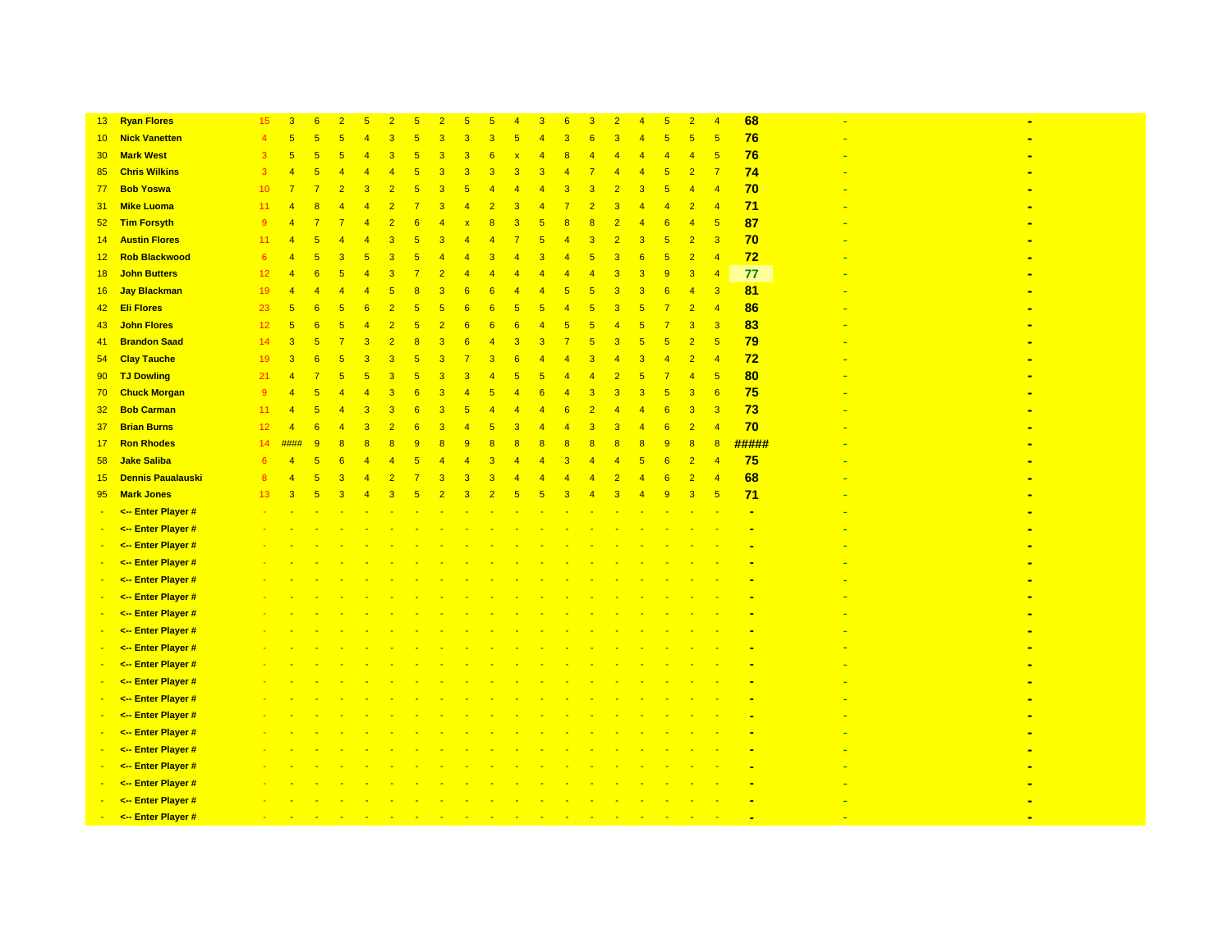|                          | 13 Ryan Flores       | 15              | 3                       | 6               | $\overline{2}$  | $5\phantom{.0}$        | $\overline{2}$ | $5\phantom{1}$          | $\overline{2}$          | $5\overline{)}$         | 5 <sub>5</sub> | $\overline{4}$ | $\overline{\mathbf{3}}$ | 6               | $\overline{3}$  | $\overline{2}$          | $\overline{4}$          | $-5$            | $\overline{2}$          | $\overline{4}$          | 68    | $\blacksquare$ |                |  |
|--------------------------|----------------------|-----------------|-------------------------|-----------------|-----------------|------------------------|----------------|-------------------------|-------------------------|-------------------------|----------------|----------------|-------------------------|-----------------|-----------------|-------------------------|-------------------------|-----------------|-------------------------|-------------------------|-------|----------------|----------------|--|
|                          | 10 Nick Vanetten     | $\overline{4}$  | $5\phantom{.0}$         | $5\phantom{.0}$ | $5\phantom{.0}$ | $\overline{4}$         | 3              | $5\phantom{1}$          | $\overline{\mathbf{3}}$ | $\overline{\mathbf{3}}$ | 3              | 5              | $\overline{4}$          | 3               | 6               | 3                       | $\overline{4}$          | $5\phantom{1}$  | $5\phantom{1}$          | $5\phantom{.0}$         | 76    |                |                |  |
|                          | 30 Mark West         | 3               | $5\phantom{.0}$         | $5\overline{)}$ | $5\overline{)}$ | $\overline{A}$         | 3              | 5                       | 3                       | $\overline{\mathbf{3}}$ | 6              | $\mathbf{x}$   | $\overline{A}$          | 8               | $\overline{A}$  | $\boldsymbol{\Lambda}$  | $\overline{A}$          | $\overline{4}$  | $\overline{4}$          | $5\overline{5}$         | 76    |                |                |  |
| 85                       | <b>Chris Wilkins</b> | $\overline{3}$  | $\overline{4}$          | $5\phantom{.0}$ | $\overline{4}$  | $\overline{4}$         | $\overline{4}$ | $5\overline{5}$         | 3                       | $\overline{\mathbf{3}}$ | 3              | 3              | 3                       | $\overline{4}$  | $\overline{7}$  | $\overline{4}$          | $\overline{4}$          | $5\phantom{1}$  | $\overline{2}$          | $\overline{7}$          | 74    | н              |                |  |
| 77                       | <b>Bob Yoswa</b>     | 10 <sup>°</sup> | $\overline{7}$          | $\overline{7}$  | $\overline{2}$  | 3                      | $\overline{2}$ | $5\overline{5}$         | 3                       | 5                       | $\overline{A}$ | $\overline{4}$ | $\overline{4}$          | 3               | 3               | $\overline{2}$          | 3                       | $5\overline{5}$ | $\overline{4}$          | $\overline{4}$          | 70    |                |                |  |
|                          | 31 Mike Luoma        | 11              | $\overline{4}$          | 8               | $\overline{4}$  | $\overline{4}$         | $\overline{2}$ | $\overline{7}$          | $\overline{\mathbf{3}}$ | $\overline{4}$          | $\overline{2}$ | 3              | $\overline{4}$          | $\overline{7}$  | $\overline{2}$  | -3                      | $\overline{4}$          | $\overline{4}$  | $\overline{2}$          | $\overline{4}$          | 71    | ٠              |                |  |
|                          | 52 Tim Forsyth       | 9               | $\overline{A}$          | $\overline{7}$  | $\overline{7}$  | $\overline{A}$         | 2              | 6                       | $\overline{4}$          | $\overline{\mathbf{x}}$ | 8              | 3              | $5\phantom{.0}$         | $\overline{8}$  | 8               | 2                       | $\overline{4}$          | 6               | $\overline{4}$          | 5                       | 87    |                |                |  |
|                          | 14 Austin Flores     | 11              | $\overline{4}$          | $5\phantom{.0}$ | $\overline{4}$  | $\overline{A}$         | 3              | 5                       | $\overline{\mathbf{3}}$ | $\overline{A}$          | $\overline{A}$ | -7             | $5\phantom{.0}$         | $\overline{4}$  | 3               | $\overline{2}$          | 3                       | 5               | $\overline{2}$          | $\overline{\mathbf{3}}$ | 70    |                |                |  |
|                          | 12 Rob Blackwood     | $6\overline{6}$ | $\overline{4}$          | $5\phantom{.0}$ | 3               | 5                      |                | $\sqrt{5}$              | $\overline{4}$          | $\overline{4}$          | 3              | 4              | 3                       | 4               | $5\phantom{.0}$ | 3                       | $6\phantom{1}$          | $\overline{5}$  | $\overline{2}$          | $\overline{4}$          | 72    |                |                |  |
| 18                       | <b>John Butters</b>  | 12 <sub>2</sub> | $\overline{4}$          | 6               | $5\overline{)}$ | $\boldsymbol{\Lambda}$ | 3              | 7                       | $\overline{2}$          | $\overline{A}$          | Δ              | z              | $\overline{A}$          | $\overline{A}$  | $\overline{4}$  | 3                       | 3                       | 9               | $\overline{3}$          | $\overline{4}$          | 77    |                |                |  |
|                          | 16 Jay Blackman      | 19              | $\overline{4}$          | $\overline{4}$  | $\overline{4}$  | $\overline{4}$         | -5             | $\overline{8}$          | 3                       | 6                       | 6              | $\overline{4}$ | $\overline{4}$          | 5               | $5\phantom{.0}$ | $\overline{\mathbf{3}}$ | $\overline{\mathbf{3}}$ | 6               | $\overline{4}$          | $\overline{\mathbf{3}}$ | 81    | н              |                |  |
|                          | 42 Eli Flores        | 23              | $5\overline{5}$         | 6               | 5               | 6                      |                | 5                       | -5                      | 6                       | 6              | 5              | $5\phantom{.0}$         | $\overline{4}$  | $5\overline{)}$ | 3                       | $5\overline{)}$         | $\overline{7}$  | $\overline{2}$          | $\overline{4}$          | 86    |                |                |  |
|                          | 43 John Flores       | 12              | $5\phantom{1}$          | 6               | 5               | $\overline{4}$         | $\overline{2}$ | 5                       | $\overline{2}$          | 6                       | 6              | 6              | $\overline{4}$          | $5\overline{5}$ | $5\overline{)}$ | $\overline{4}$          | $5\overline{)}$         | $\overline{7}$  | $\overline{\mathbf{3}}$ | $\overline{\mathbf{3}}$ | 83    |                |                |  |
| 41                       | <b>Brandon Saad</b>  | 14              | $\overline{\mathbf{3}}$ | $5\overline{)}$ | $\overline{7}$  | 3                      | $\overline{2}$ | $\overline{\mathbf{8}}$ | $\overline{3}$          | 6                       | $\overline{A}$ | 3              | $\overline{3}$          | 7               | $5\overline{)}$ | 3                       | $5\overline{5}$         | $5\overline{5}$ | $\overline{2}$          | 5                       | 79    |                |                |  |
|                          | 54 Clay Tauche       | 19              | $\overline{\mathbf{3}}$ | $6\phantom{.}6$ | $5\phantom{.0}$ | 3                      | 3              | 5                       | 3                       | -7                      | 3              | 6              | $\overline{4}$          | $\overline{A}$  | 3               | $\overline{4}$          | 3                       | $\overline{4}$  | $\overline{2}$          | $\overline{4}$          | 72    | ٠              |                |  |
|                          | 90 TJ Dowling        | 21              | $\overline{4}$          | $\overline{7}$  | $5\phantom{.0}$ | $5\overline{)}$        | 3              | $5\phantom{1}$          | 3                       | $\overline{\mathbf{3}}$ | Δ              | 5              | $5\overline{)}$         | $\overline{4}$  | $\overline{4}$  | $\overline{2}$          | $5\overline{5}$         | $\overline{7}$  | $\overline{4}$          | $5\phantom{1}$          | 80    |                |                |  |
|                          | 70 Chuck Morgan      | 9               | $\overline{4}$          | $5\overline{)}$ | $\overline{4}$  | $\overline{A}$         | 3              | 6                       | 3                       | $\overline{4}$          | 5              | $\overline{A}$ | 6                       | $\overline{A}$  | 3               | 3                       | 3                       | 5               | $\overline{\mathbf{3}}$ | 6                       | 75    |                |                |  |
| 32 <sub>2</sub>          | <b>Bob Carman</b>    | 11              | 4                       | $5\phantom{.0}$ | $\overline{4}$  | 3                      |                | 6                       | 3                       | 5                       | $\overline{4}$ | $\overline{4}$ | $\overline{4}$          | 6               | $\overline{2}$  |                         | $\overline{4}$          | $6\phantom{1}6$ | $\overline{\mathbf{3}}$ | $\overline{\mathbf{3}}$ | 73    |                |                |  |
| 37                       | <b>Brian Burns</b>   | 12              | $\overline{4}$          | 6               | $\overline{4}$  | 3                      |                | 6                       | 3                       | $\overline{4}$          | 5              | 3              | $\overline{A}$          | $\overline{A}$  | 3               |                         | $\overline{A}$          | 6               | $\overline{2}$          | $\overline{4}$          | 70    |                |                |  |
|                          | 17 Ron Rhodes        | 14              | ####                    | $\overline{9}$  | -8              | 8                      |                | -9                      | $\overline{8}$          | 9                       | 8              | 8              | 8                       | 8               | 8               | 8                       | $\overline{8}$          | 9               | 8                       | 8                       | ##### |                |                |  |
| 58 <sup>°</sup>          | Jake Saliba          | $6^{\circ}$     | $\overline{4}$          | $5\overline{)}$ | 6               |                        |                | 5                       |                         | $\overline{A}$          | 3              |                | $\overline{A}$          | B               |                 |                         | 5                       | 6               | $\overline{2}$          | $\overline{4}$          | 75    |                |                |  |
|                          | 15 Dennis Paualauski | 8               | $\overline{4}$          | $5\phantom{1}$  | 3               | $\overline{4}$         | $\overline{2}$ | $\overline{7}$          | 3                       | $\overline{\mathbf{3}}$ | 3              | $\overline{4}$ | $\overline{4}$          | $\overline{4}$  | $\overline{4}$  | $\overline{2}$          | $\overline{4}$          | 6               | $\overline{2}$          | $\overline{4}$          | 68    |                |                |  |
| 95                       | <b>Mark Jones</b>    | 13 <sup>°</sup> | 3                       | $5\phantom{.0}$ | 3               | $\boldsymbol{\Lambda}$ |                | 5                       | $\overline{2}$          | $\overline{\mathbf{3}}$ | $\overline{2}$ | 5              | $5\phantom{.0}$         | 3               |                 |                         | $\overline{4}$          | 9               | $\overline{\mathbf{3}}$ | $5\phantom{.0}$         | 71    |                |                |  |
| $\overline{\phantom{a}}$ | <-- Enter Player #   |                 |                         |                 |                 |                        |                |                         |                         |                         |                |                |                         |                 |                 |                         |                         |                 |                         |                         |       |                |                |  |
| $\blacksquare$           | <-- Enter Player #   |                 |                         |                 |                 |                        |                |                         |                         |                         |                |                |                         |                 |                 |                         |                         |                 |                         |                         |       |                |                |  |
|                          | <-- Enter Player #   |                 |                         |                 |                 |                        |                |                         |                         |                         |                |                |                         |                 |                 |                         |                         |                 |                         |                         |       |                |                |  |
| $\blacksquare$           | <-- Enter Player #   |                 |                         |                 |                 |                        |                |                         |                         |                         |                |                |                         |                 |                 |                         |                         |                 |                         |                         |       |                |                |  |
|                          | <-- Enter Player #   |                 |                         |                 |                 |                        |                |                         |                         |                         |                |                |                         |                 |                 |                         |                         |                 |                         |                         |       |                |                |  |
|                          | <-- Enter Player #   |                 |                         |                 |                 |                        |                |                         |                         |                         |                |                |                         |                 |                 |                         |                         |                 |                         |                         |       |                |                |  |
|                          | <-- Enter Player #   |                 |                         |                 |                 |                        |                |                         |                         |                         |                |                |                         |                 |                 |                         |                         |                 |                         |                         |       |                |                |  |
|                          | <-- Enter Player #   |                 |                         |                 |                 |                        |                |                         |                         |                         |                |                |                         |                 |                 |                         |                         |                 |                         |                         |       |                |                |  |
|                          | <-- Enter Player #   |                 |                         |                 |                 |                        |                |                         |                         |                         |                |                |                         |                 |                 |                         |                         |                 |                         |                         |       |                |                |  |
|                          | <-- Enter Player #   |                 |                         |                 |                 |                        |                |                         |                         |                         |                |                |                         |                 |                 |                         |                         |                 |                         |                         |       |                |                |  |
|                          | <-- Enter Player #   |                 |                         |                 |                 |                        |                |                         |                         |                         |                |                |                         |                 |                 |                         |                         |                 |                         |                         |       |                |                |  |
|                          | <-- Enter Player #   |                 |                         |                 |                 |                        |                |                         |                         |                         |                |                |                         |                 |                 |                         |                         |                 |                         |                         |       |                |                |  |
| $\blacksquare$           | <-- Enter Player #   |                 |                         |                 |                 |                        |                |                         |                         |                         |                |                |                         |                 |                 |                         |                         |                 |                         |                         |       |                |                |  |
|                          | <-- Enter Player #   |                 |                         |                 |                 |                        |                |                         |                         |                         |                |                |                         |                 |                 |                         |                         |                 |                         |                         |       |                |                |  |
|                          | <-- Enter Player #   |                 |                         |                 |                 |                        |                |                         |                         |                         |                |                |                         |                 |                 |                         |                         |                 |                         |                         |       |                |                |  |
|                          | <-- Enter Player #   |                 |                         |                 |                 |                        |                |                         |                         |                         |                |                |                         |                 |                 |                         |                         |                 |                         |                         |       |                |                |  |
|                          | <-- Enter Player #   |                 |                         |                 |                 |                        |                |                         |                         |                         |                |                |                         |                 |                 |                         |                         |                 |                         |                         |       |                |                |  |
|                          | <-- Enter Player #   |                 |                         |                 |                 |                        |                |                         |                         |                         |                |                |                         |                 |                 |                         |                         |                 |                         |                         |       |                |                |  |
|                          | <-- Enter Player #   |                 |                         |                 |                 |                        |                |                         |                         |                         |                |                |                         |                 |                 |                         |                         |                 |                         |                         |       | ٠              | $\blacksquare$ |  |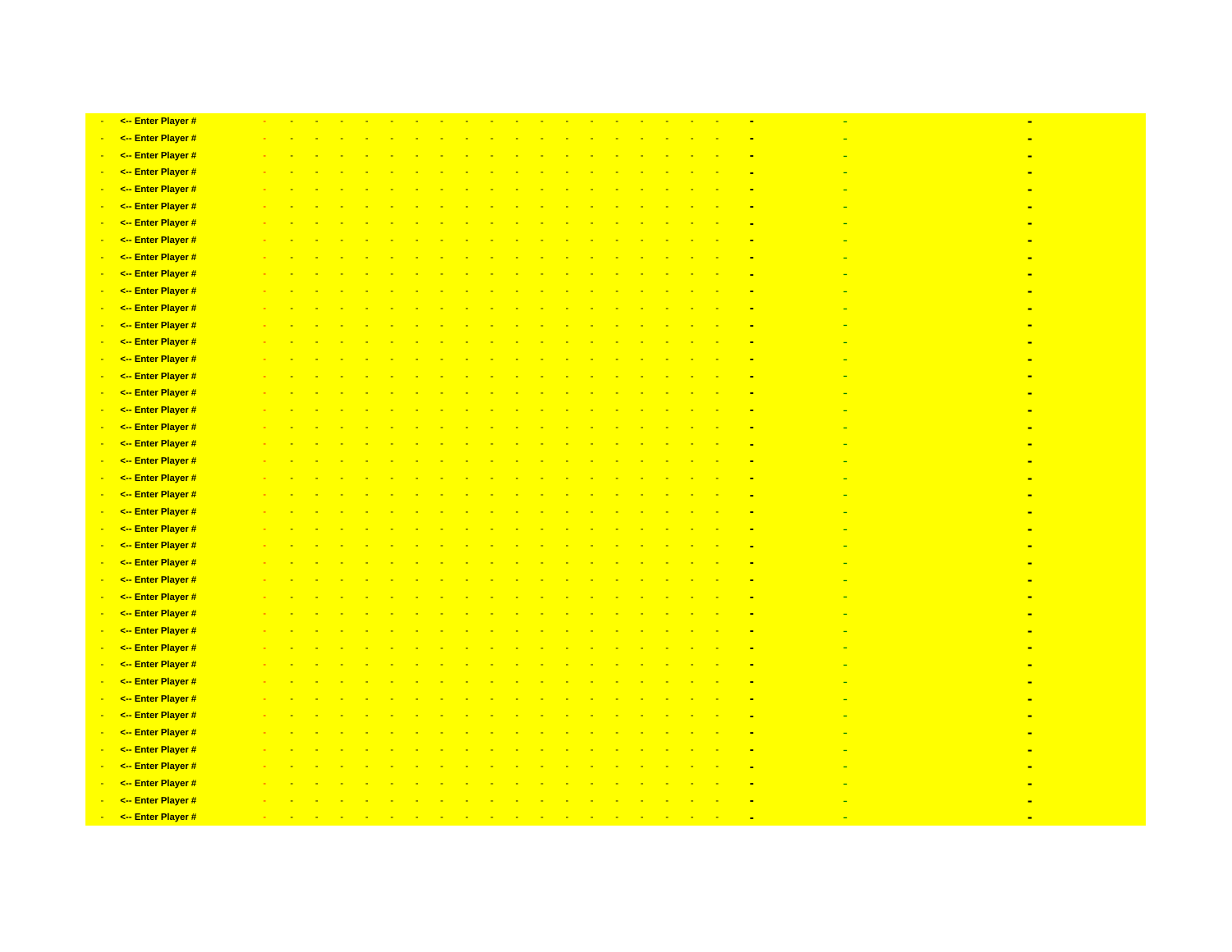| <-- Enter Player # |  |  |  |  |  |  |  |  |  |  | $\blacksquare$           | $\blacksquare$ |
|--------------------|--|--|--|--|--|--|--|--|--|--|--------------------------|----------------|
| <-- Enter Player # |  |  |  |  |  |  |  |  |  |  |                          | -              |
| <-- Enter Player # |  |  |  |  |  |  |  |  |  |  |                          |                |
| <-- Enter Player # |  |  |  |  |  |  |  |  |  |  |                          |                |
| <-- Enter Player # |  |  |  |  |  |  |  |  |  |  |                          |                |
| <-- Enter Player # |  |  |  |  |  |  |  |  |  |  |                          |                |
| <-- Enter Player # |  |  |  |  |  |  |  |  |  |  |                          |                |
| <-- Enter Player # |  |  |  |  |  |  |  |  |  |  | $\overline{\phantom{a}}$ |                |
| <-- Enter Player # |  |  |  |  |  |  |  |  |  |  |                          |                |
| <-- Enter Player # |  |  |  |  |  |  |  |  |  |  |                          |                |
| <-- Enter Player # |  |  |  |  |  |  |  |  |  |  |                          |                |
| <-- Enter Player # |  |  |  |  |  |  |  |  |  |  |                          |                |
| <-- Enter Player # |  |  |  |  |  |  |  |  |  |  | $\overline{\phantom{a}}$ |                |
| <-- Enter Player # |  |  |  |  |  |  |  |  |  |  |                          |                |
| <-- Enter Player # |  |  |  |  |  |  |  |  |  |  |                          |                |
| <-- Enter Player # |  |  |  |  |  |  |  |  |  |  |                          |                |
| <-- Enter Player # |  |  |  |  |  |  |  |  |  |  |                          |                |
| <-- Enter Player # |  |  |  |  |  |  |  |  |  |  |                          |                |
| <-- Enter Player # |  |  |  |  |  |  |  |  |  |  |                          |                |
| <-- Enter Player # |  |  |  |  |  |  |  |  |  |  |                          |                |
| <-- Enter Player # |  |  |  |  |  |  |  |  |  |  |                          |                |
| <-- Enter Player # |  |  |  |  |  |  |  |  |  |  |                          |                |
| <-- Enter Player # |  |  |  |  |  |  |  |  |  |  |                          |                |
| <-- Enter Player # |  |  |  |  |  |  |  |  |  |  |                          |                |
| <-- Enter Player # |  |  |  |  |  |  |  |  |  |  |                          |                |
| <-- Enter Player # |  |  |  |  |  |  |  |  |  |  |                          |                |
| <-- Enter Player # |  |  |  |  |  |  |  |  |  |  | $\overline{\phantom{a}}$ |                |
| <-- Enter Player # |  |  |  |  |  |  |  |  |  |  |                          |                |
| <-- Enter Player # |  |  |  |  |  |  |  |  |  |  |                          |                |
| <-- Enter Player # |  |  |  |  |  |  |  |  |  |  |                          |                |
| <-- Enter Player # |  |  |  |  |  |  |  |  |  |  |                          |                |
| <-- Enter Player # |  |  |  |  |  |  |  |  |  |  |                          |                |
| <-- Enter Player # |  |  |  |  |  |  |  |  |  |  |                          |                |
| <-- Enter Player # |  |  |  |  |  |  |  |  |  |  |                          |                |
| <-- Enter Player # |  |  |  |  |  |  |  |  |  |  |                          |                |
| <-- Enter Player # |  |  |  |  |  |  |  |  |  |  |                          |                |
| <-- Enter Player # |  |  |  |  |  |  |  |  |  |  |                          |                |
| <-- Enter Player # |  |  |  |  |  |  |  |  |  |  |                          |                |
| <-- Enter Player # |  |  |  |  |  |  |  |  |  |  |                          |                |
| <-- Enter Player # |  |  |  |  |  |  |  |  |  |  |                          |                |
| <-- Enter Player # |  |  |  |  |  |  |  |  |  |  |                          |                |
| <-- Enter Player # |  |  |  |  |  |  |  |  |  |  | $\overline{\phantom{a}}$ |                |
|                    |  |  |  |  |  |  |  |  |  |  |                          |                |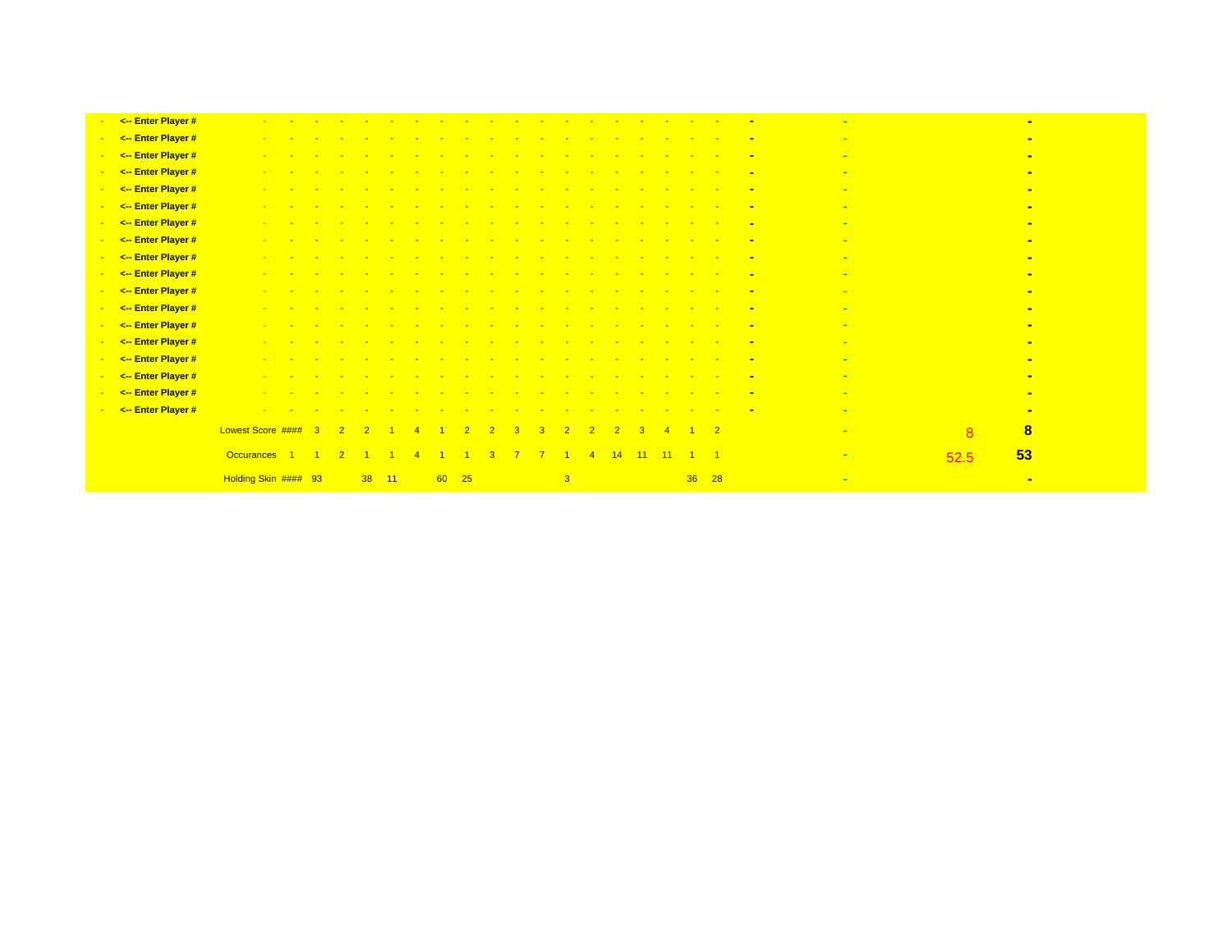| <-- Enter Player #          | the contract of the contract of the contract of the contract of the contract of the contract of the contract of |                          |                |                |                                                                                                                 |       |                |                |                         |                |                |                |                |                |                |             |                                                                                                                                                                                                                                      |                                  | $\sim$                   |              | $\blacksquare$ |  |
|-----------------------------|-----------------------------------------------------------------------------------------------------------------|--------------------------|----------------|----------------|-----------------------------------------------------------------------------------------------------------------|-------|----------------|----------------|-------------------------|----------------|----------------|----------------|----------------|----------------|----------------|-------------|--------------------------------------------------------------------------------------------------------------------------------------------------------------------------------------------------------------------------------------|----------------------------------|--------------------------|--------------|----------------|--|
| $\leftarrow$ Enter Player # |                                                                                                                 |                          |                |                |                                                                                                                 |       |                |                |                         |                |                |                |                |                |                |             | the contract of the contract of the contract of the contract of the contract of the contract of the contract of                                                                                                                      |                                  | $\blacksquare$           |              | $\blacksquare$ |  |
| $\leftarrow$ Enter Player # |                                                                                                                 |                          |                |                |                                                                                                                 |       |                |                |                         |                |                |                |                |                |                |             | the contract of the contract of the contract of the contract of the contract of the contract of the contract of                                                                                                                      |                                  | $\blacksquare$           |              | $\blacksquare$ |  |
| $\leftarrow$ Enter Player # | <b>Service Control</b>                                                                                          |                          |                |                |                                                                                                                 |       |                |                |                         |                |                |                |                |                |                |             | <u>. A shekara ta 1989, a shekara ta 1989, a shekara ta 1989, a shekara ta 1989, a shekara ta 1989, a shekara ta 1</u>                                                                                                               |                                  | $\blacksquare$           |              | $\blacksquare$ |  |
| $\leftarrow$ Enter Player # | <b>Contract Contract</b>                                                                                        |                          |                |                |                                                                                                                 |       |                |                |                         |                |                |                |                |                |                |             | the contract of the contract of the contract of the contract of the contract of the contract of the contract of                                                                                                                      |                                  | $\blacksquare$           |              | $\blacksquare$ |  |
| $\leftarrow$ Enter Player # | the contract of the contract of the contract of the contract of the contract of the contract of the contract of |                          |                |                |                                                                                                                 |       |                |                |                         |                |                |                |                |                |                |             |                                                                                                                                                                                                                                      |                                  | $\blacksquare$           |              | $\blacksquare$ |  |
| $\leftarrow$ Enter Player # | the contract of the contract of the contract of the contract of the contract of the contract of the contract of |                          |                |                |                                                                                                                 |       |                |                |                         |                |                |                |                |                |                |             |                                                                                                                                                                                                                                      |                                  | $\equiv$                 |              | $\blacksquare$ |  |
| $\leftarrow$ Enter Player # | <b>Service Control</b>                                                                                          |                          |                |                |                                                                                                                 |       |                |                |                         |                |                |                |                |                |                |             | <u>. A shekara ta 1989, a shekara ta 1989, a shekara ta 1989, a shekara ta 1989, a shekara ta 1989, a shekara ta 1</u>                                                                                                               |                                  | $\blacksquare$           |              | $\blacksquare$ |  |
| $\leftarrow$ Enter Player # | <b>Service State</b>                                                                                            | <b>Contract Contract</b> |                |                |                                                                                                                 |       |                |                |                         |                |                |                |                |                |                |             | <u>. A series and the series of the series of the series of the series of the series of the series of the series of the series of the series of the series of the series of the series of the series of the series of the series</u> |                                  | $\blacksquare$           |              | $\blacksquare$ |  |
| $\leftarrow$ Enter Player # | <b>Service</b> State                                                                                            |                          |                |                |                                                                                                                 |       |                |                |                         |                |                |                |                |                |                |             | <u>. A shekara ta 1989, a shekara ta 1989, a shekara ta 1989, a shekara ta 1989, a shekara ta 1989, a shekara ta 1</u>                                                                                                               |                                  | $\blacksquare$           |              | $\blacksquare$ |  |
| $\leftarrow$ Enter Player # | <b>Contract Contract</b>                                                                                        |                          |                |                | the contract of the contract of the contract of the contract of the contract of the contract of the contract of |       |                |                |                         |                |                |                |                |                |                |             |                                                                                                                                                                                                                                      | <b>Contract Contract</b>         | $\blacksquare$           |              | $\blacksquare$ |  |
| $\leftarrow$ Enter Player # | <b>Service State</b>                                                                                            |                          |                |                |                                                                                                                 |       |                |                |                         |                |                |                |                |                |                |             | the contract of the contract of the contract of the contract of the contract of the contract of the contract of                                                                                                                      |                                  | $\blacksquare$           |              | $\blacksquare$ |  |
| $\leftarrow$ Enter Player # | <b>Contract Contract</b>                                                                                        |                          |                |                |                                                                                                                 |       |                |                |                         |                |                |                |                |                |                |             | <u>. A shekara ta 1989, a shekara ta 1989, a shekara ta 1989, a shekara ta 1989, a shekara ta 1989, a shekara ta 1</u>                                                                                                               |                                  | $\blacksquare$           |              | $\blacksquare$ |  |
| <-- Enter Player #          | the contract of the contract of the contract of the contract of the contract of the contract of the contract of |                          |                |                |                                                                                                                 |       |                |                |                         |                |                |                |                |                |                |             |                                                                                                                                                                                                                                      |                                  | $\blacksquare$           |              | $\blacksquare$ |  |
| $\leftarrow$ Enter Player # | <b>Service State</b>                                                                                            |                          |                |                |                                                                                                                 |       |                |                |                         |                |                |                |                |                |                |             | <u>. A series and the series of the series of the series of the series of the series of the series of the series of the series of the series of the series of the series of the series of the series of the series of the series</u> |                                  | $\equiv$                 |              | $\blacksquare$ |  |
| $\leftarrow$ Enter Player # | <b>Contract Contract</b>                                                                                        |                          |                |                |                                                                                                                 |       |                |                |                         |                |                |                |                |                |                |             | <u>. A shekara ta 1989, a shekara ta 1989, a shekara ta 1989, a shekara ta 1989, a shekara ta 1989, a shekara ta 1</u>                                                                                                               |                                  | $\equiv$                 |              | $\blacksquare$ |  |
| $\leftarrow$ Enter Player # | <b>Contract Contract</b>                                                                                        |                          |                |                | the contract of the contract of the contract of the contract of the contract of the contract of the contract of |       |                |                |                         |                |                |                |                |                |                |             |                                                                                                                                                                                                                                      | <b><i><u>Participate</u></i></b> | $\equiv$                 |              | $\blacksquare$ |  |
| $\leftarrow$ Enter Player # |                                                                                                                 |                          |                |                |                                                                                                                 |       |                |                |                         |                |                |                |                |                |                |             |                                                                                                                                                                                                                                      |                                  | $\overline{\phantom{a}}$ |              | $\blacksquare$ |  |
|                             | Lowest Score $\# \# \#$ 3                                                                                       |                          | $\mathcal{P}$  | $\overline{2}$ |                                                                                                                 |       | $\overline{2}$ | $\overline{2}$ | $\overline{\mathbf{3}}$ | 3 <sup>1</sup> | $\overline{2}$ | $\overline{2}$ | $\overline{2}$ | 3 <sup>°</sup> | $\overline{4}$ | $1 \quad 2$ |                                                                                                                                                                                                                                      |                                  | -                        | $\mathsf{R}$ | 8              |  |
|                             |                                                                                                                 |                          |                |                |                                                                                                                 |       |                |                |                         |                |                |                |                |                |                |             |                                                                                                                                                                                                                                      |                                  |                          |              |                |  |
|                             | Occurances 1                                                                                                    |                          | $\overline{2}$ |                | $\overline{4}$                                                                                                  |       | 1 1 3 7 7      |                |                         |                | $\sim$ 1       |                | 4 14 11 11 1 1 |                |                |             |                                                                                                                                                                                                                                      |                                  | $\blacksquare$           | 52.5         | 53             |  |
|                             | Holding Skin #### 93                                                                                            |                          |                | 38 11          |                                                                                                                 | 60 25 |                |                |                         |                | 3 <sup>2</sup> |                |                |                |                | 36 28       |                                                                                                                                                                                                                                      |                                  | $\overline{\phantom{a}}$ |              | <b>.</b>       |  |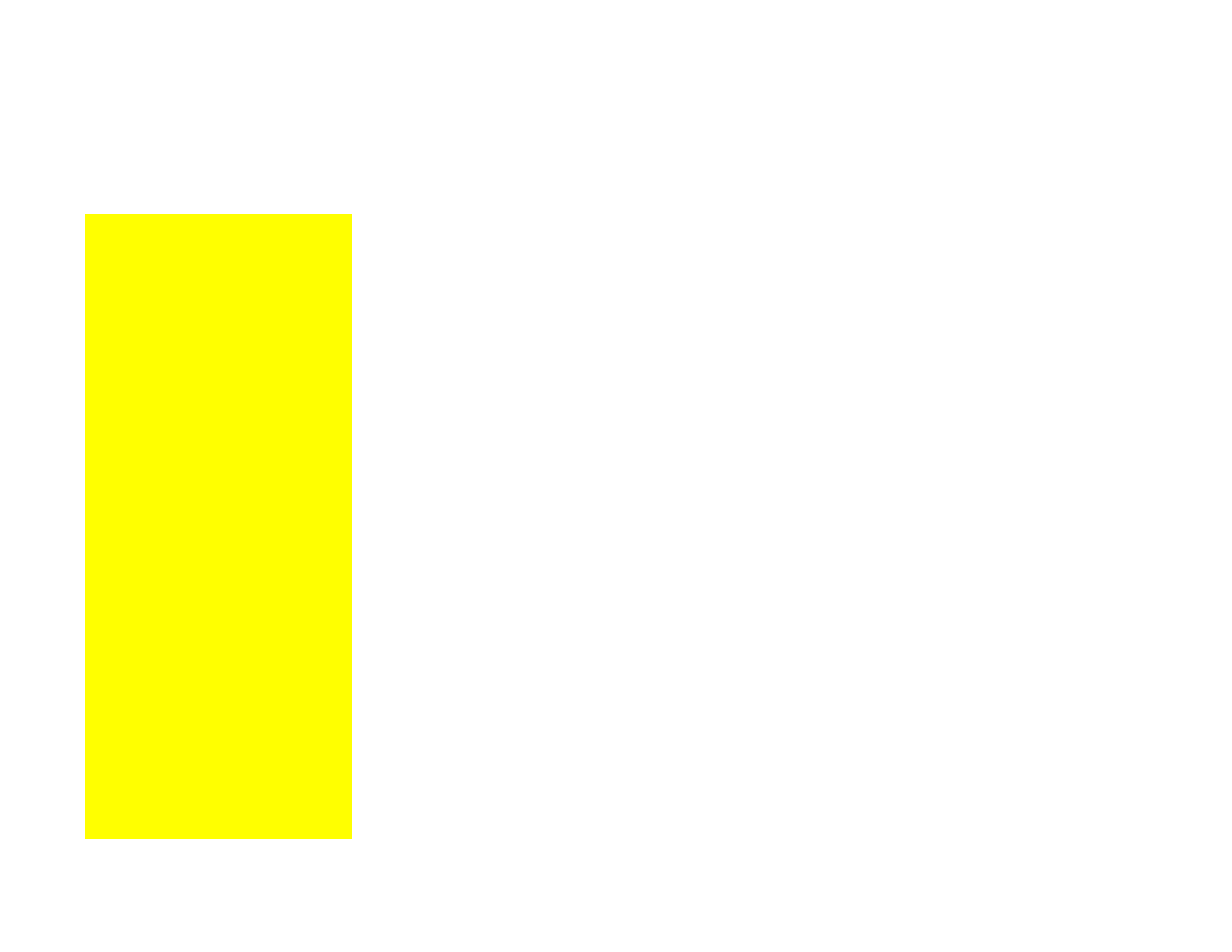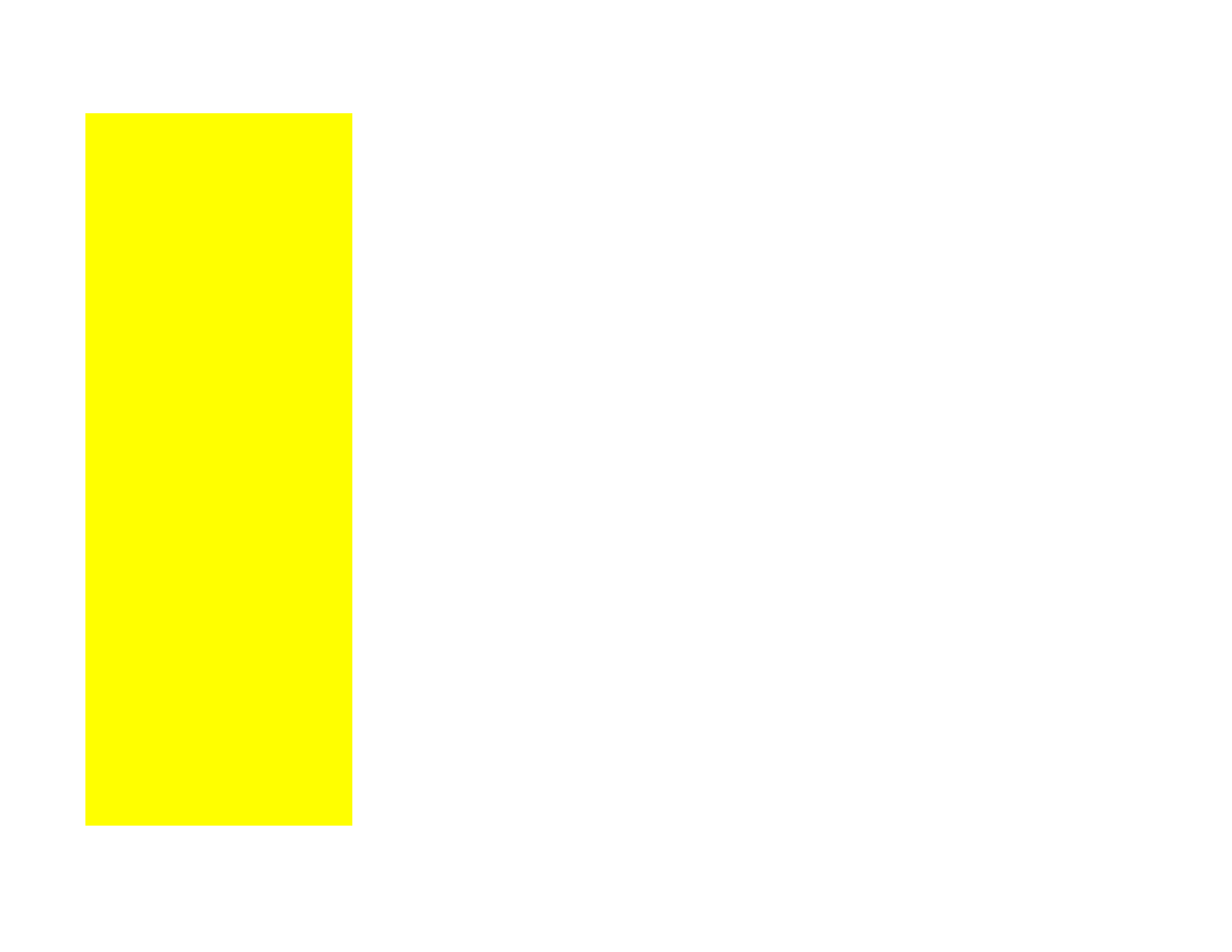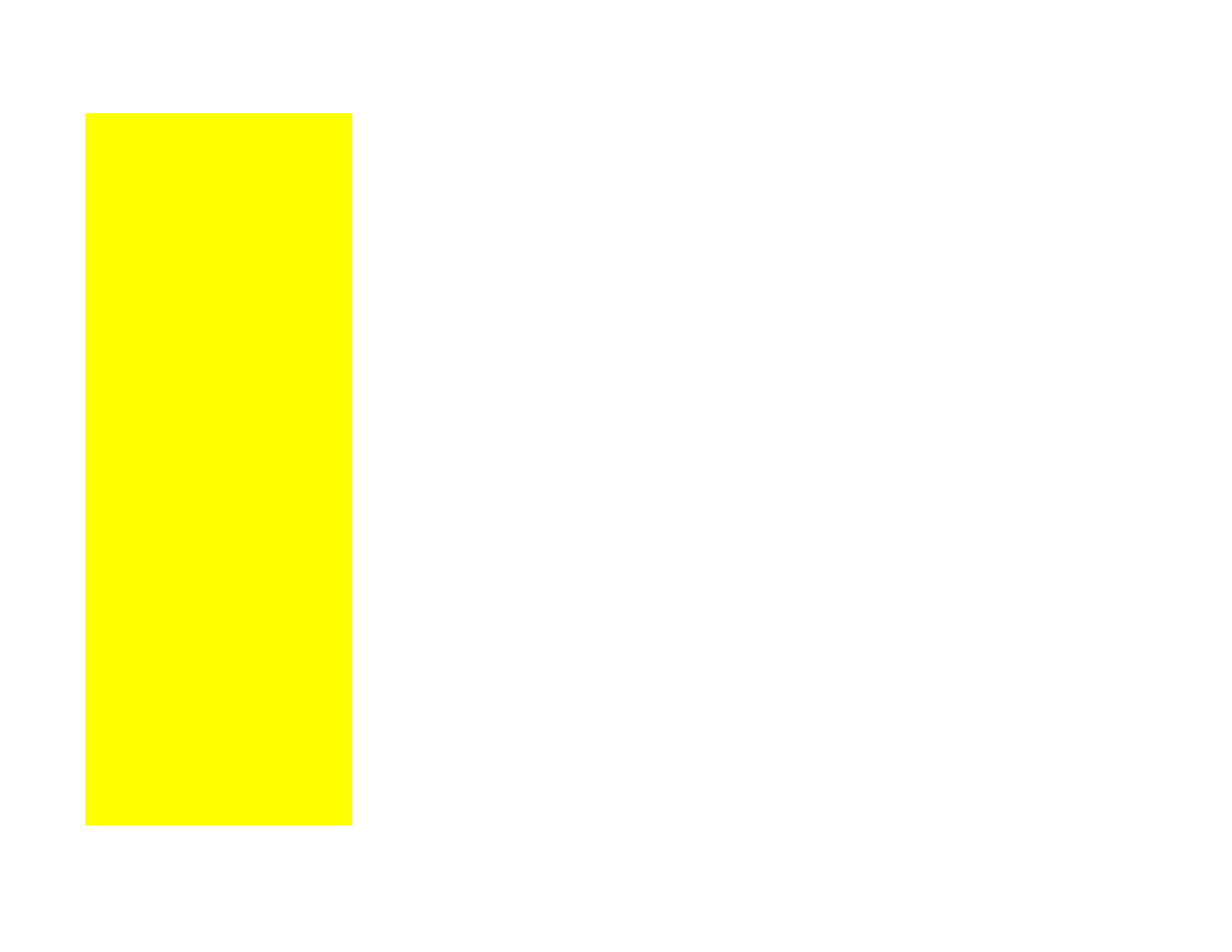